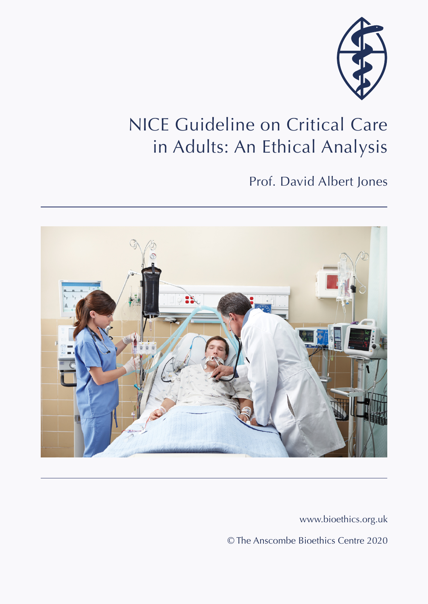

# NICE Guideline on Critical Care in Adults: An Ethical Analysis

## Prof. David Albert Jones



www.bioethics.org.uk

© The Anscombe Bioethics Centre 2020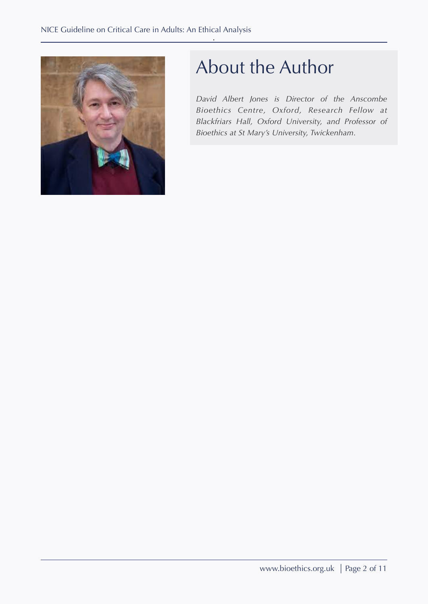

# About the Author

*David Albert Jones is Director of the Anscombe Bioethics Centre, Oxford, Research Fellow at Blackfriars Hall, Oxford University, and Professor of Bioethics at St Mary's University, Twickenham.*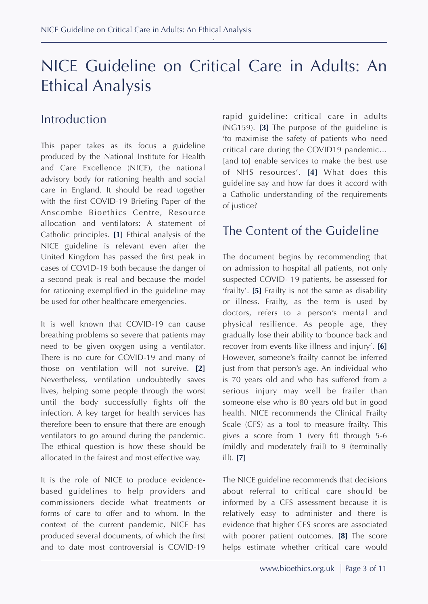## NICE Guideline on Critical Care in Adults: An Ethical Analysis

#### Introduction

This paper takes as its focus a guideline produced by the National Institute for Health and Care Excellence (NICE), the national advisory body for rationing health and social care in England. It should be read together with the first COVID-19 Briefing Paper of the Anscombe Bioethics Centre, Resource allocation and ventilators: A statement of Catholic principles. **[1]** Ethical analysis of the NICE guideline is relevant even after the United Kingdom has passed the first peak in cases of COVID-19 both because the danger of a second peak is real and because the model for rationing exemplified in the guideline may be used for other healthcare emergencies.

It is well known that COVID-19 can cause breathing problems so severe that patients may need to be given oxygen using a ventilator. There is no cure for COVID-19 and many of those on ventilation will not survive. **[2]** Nevertheless, ventilation undoubtedly saves lives, helping some people through the worst until the body successfully fights off the infection. A key target for health services has therefore been to ensure that there are enough ventilators to go around during the pandemic. The ethical question is how these should be allocated in the fairest and most effective way.

It is the role of NICE to produce evidencebased guidelines to help providers and commissioners decide what treatments or forms of care to offer and to whom. In the context of the current pandemic, NICE has produced several documents, of which the first and to date most controversial is COVID-19

rapid guideline: critical care in adults (NG159). **[3]** The purpose of the guideline is 'to maximise the safety of patients who need critical care during the COVID19 pandemic… [and to] enable services to make the best use of NHS resources'. **[4]** What does this guideline say and how far does it accord with a Catholic understanding of the requirements of justice?

#### The Content of the Guideline

The document begins by recommending that on admission to hospital all patients, not only suspected COVID- 19 patients, be assessed for 'frailty'. **[5]** Frailty is not the same as disability or illness. Frailty, as the term is used by doctors, refers to a person's mental and physical resilience. As people age, they gradually lose their ability to 'bounce back and recover from events like illness and injury'. **[6]** However, someone's frailty cannot be inferred just from that person's age. An individual who is 70 years old and who has suffered from a serious injury may well be frailer than someone else who is 80 years old but in good health. NICE recommends the Clinical Frailty Scale (CFS) as a tool to measure frailty. This gives a score from 1 (very fit) through 5-6 (mildly and moderately frail) to 9 (terminally ill). **[7]**

The NICE guideline recommends that decisions about referral to critical care should be informed by a CFS assessment because it is relatively easy to administer and there is evidence that higher CFS scores are associated with poorer patient outcomes. **[8]** The score helps estimate whether critical care would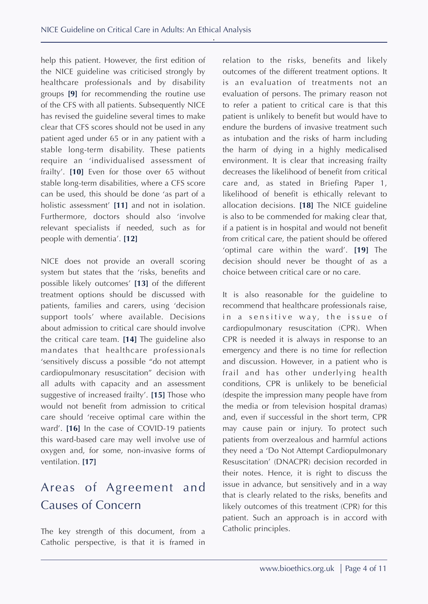help this patient. However, the first edition of the NICE guideline was criticised strongly by healthcare professionals and by disability groups **[9]** for recommending the routine use of the CFS with all patients. Subsequently NICE has revised the guideline several times to make clear that CFS scores should not be used in any patient aged under 65 or in any patient with a stable long-term disability. These patients require an 'individualised assessment of frailty'. **[10]** Even for those over 65 without stable long-term disabilities, where a CFS score can be used, this should be done 'as part of a holistic assessment' **[11]** and not in isolation. Furthermore, doctors should also 'involve relevant specialists if needed, such as for people with dementia'. **[12]**

NICE does not provide an overall scoring system but states that the 'risks, benefits and possible likely outcomes' **[13]** of the different treatment options should be discussed with patients, families and carers, using 'decision support tools' where available. Decisions about admission to critical care should involve the critical care team. **[14]** The guideline also mandates that healthcare professionals 'sensitively discuss a possible "do not attempt cardiopulmonary resuscitation" decision with all adults with capacity and an assessment suggestive of increased frailty'. **[15]** Those who would not benefit from admission to critical care should 'receive optimal care within the ward'. **[16]** In the case of COVID-19 patients this ward-based care may well involve use of oxygen and, for some, non-invasive forms of ventilation. **[17]**

## Areas of Agreement and Causes of Concern

The key strength of this document, from a Catholic perspective, is that it is framed in relation to the risks, benefits and likely outcomes of the different treatment options. It is an evaluation of treatments not an evaluation of persons. The primary reason not to refer a patient to critical care is that this patient is unlikely to benefit but would have to endure the burdens of invasive treatment such as intubation and the risks of harm including the harm of dying in a highly medicalised environment. It is clear that increasing frailty decreases the likelihood of benefit from critical care and, as stated in Briefing Paper 1, likelihood of benefit is ethically relevant to allocation decisions. **[18]** The NICE guideline is also to be commended for making clear that, if a patient is in hospital and would not benefit from critical care, the patient should be offered 'optimal care within the ward'. **[19]** The decision should never be thought of as a choice between critical care or no care.

It is also reasonable for the guideline to recommend that healthcare professionals raise, in a sensitive way, the issue of cardiopulmonary resuscitation (CPR). When CPR is needed it is always in response to an emergency and there is no time for reflection and discussion. However, in a patient who is frail and has other underlying health conditions, CPR is unlikely to be beneficial (despite the impression many people have from the media or from television hospital dramas) and, even if successful in the short term, CPR may cause pain or injury. To protect such patients from overzealous and harmful actions they need a 'Do Not Attempt Cardiopulmonary Resuscitation' (DNACPR) decision recorded in their notes. Hence, it is right to discuss the issue in advance, but sensitively and in a way that is clearly related to the risks, benefits and likely outcomes of this treatment (CPR) for this patient. Such an approach is in accord with Catholic principles.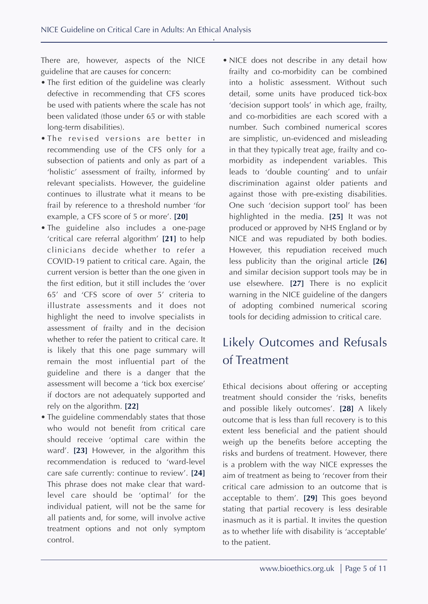There are, however, aspects of the NICE guideline that are causes for concern:

- The first edition of the guideline was clearly defective in recommending that CFS scores be used with patients where the scale has not been validated (those under 65 or with stable long-term disabilities).
- The revised versions are better in recommending use of the CFS only for a subsection of patients and only as part of a 'holistic' assessment of frailty, informed by relevant specialists. However, the guideline continues to illustrate what it means to be frail by reference to a threshold number 'for example, a CFS score of 5 or more'. **[20]**
- The guideline also includes a one-page 'critical care referral algorithm' **[21]** to help clinicians decide whether to refer a COVID-19 patient to critical care. Again, the current version is better than the one given in the first edition, but it still includes the 'over 65' and 'CFS score of over 5' criteria to illustrate assessments and it does not highlight the need to involve specialists in assessment of frailty and in the decision whether to refer the patient to critical care. It is likely that this one page summary will remain the most influential part of the guideline and there is a danger that the assessment will become a 'tick box exercise' if doctors are not adequately supported and rely on the algorithm. **[22]**
- The guideline commendably states that those who would not benefit from critical care should receive 'optimal care within the ward'. **[23]** However, in the algorithm this recommendation is reduced to 'ward-level care safe currently: continue to review'. **[24]** This phrase does not make clear that wardlevel care should be 'optimal' for the individual patient, will not be the same for all patients and, for some, will involve active treatment options and not only symptom control.

• NICE does not describe in any detail how frailty and co-morbidity can be combined into a holistic assessment. Without such detail, some units have produced tick-box 'decision support tools' in which age, frailty, and co-morbidities are each scored with a number. Such combined numerical scores are simplistic, un-evidenced and misleading in that they typically treat age, frailty and comorbidity as independent variables. This leads to 'double counting' and to unfair discrimination against older patients and against those with pre-existing disabilities. One such 'decision support tool' has been highlighted in the media. **[25]** It was not produced or approved by NHS England or by NICE and was repudiated by both bodies. However, this repudiation received much less publicity than the original article **[26]** and similar decision support tools may be in use elsewhere. **[27]** There is no explicit warning in the NICE guideline of the dangers of adopting combined numerical scoring tools for deciding admission to critical care.

### Likely Outcomes and Refusals of Treatment

Ethical decisions about offering or accepting treatment should consider the 'risks, benefits and possible likely outcomes'. **[28]** A likely outcome that is less than full recovery is to this extent less beneficial and the patient should weigh up the benefits before accepting the risks and burdens of treatment. However, there is a problem with the way NICE expresses the aim of treatment as being to 'recover from their critical care admission to an outcome that is acceptable to them'. **[29]** This goes beyond stating that partial recovery is less desirable inasmuch as it is partial. It invites the question as to whether life with disability is 'acceptable' to the patient.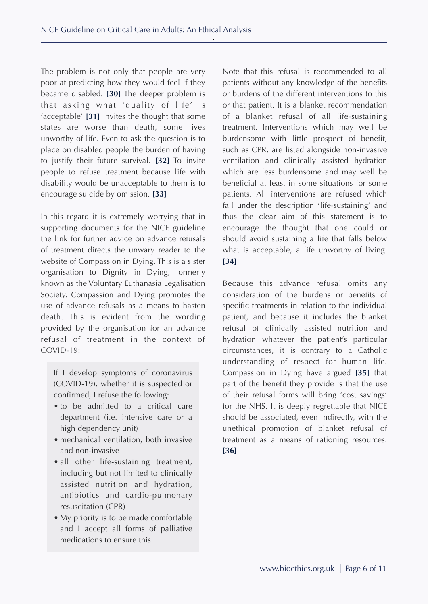The problem is not only that people are very poor at predicting how they would feel if they became disabled. **[30]** The deeper problem is that asking what 'quality of life' is 'acceptable' **[31]** invites the thought that some states are worse than death, some lives unworthy of life. Even to ask the question is to place on disabled people the burden of having to justify their future survival. **[32]** To invite people to refuse treatment because life with disability would be unacceptable to them is to encourage suicide by omission. **[33]**

In this regard it is extremely worrying that in supporting documents for the NICE guideline the link for further advice on advance refusals of treatment directs the unwary reader to the website of Compassion in Dying. This is a sister organisation to Dignity in Dying, formerly known as the Voluntary Euthanasia Legalisation Society. Compassion and Dying promotes the use of advance refusals as a means to hasten death. This is evident from the wording provided by the organisation for an advance refusal of treatment in the context of COVID-19:

If I develop symptoms of coronavirus (COVID-19), whether it is suspected or confirmed, I refuse the following:

- to be admitted to a critical care department (i.e. intensive care or a high dependency unit)
- mechanical ventilation, both invasive and non-invasive
- all other life-sustaining treatment, including but not limited to clinically assisted nutrition and hydration, antibiotics and cardio-pulmonary resuscitation (CPR)
- My priority is to be made comfortable and I accept all forms of palliative medications to ensure this.

Note that this refusal is recommended to all patients without any knowledge of the benefits or burdens of the different interventions to this or that patient. It is a blanket recommendation of a blanket refusal of all life-sustaining treatment. Interventions which may well be burdensome with little prospect of benefit, such as CPR, are listed alongside non-invasive ventilation and clinically assisted hydration which are less burdensome and may well be beneficial at least in some situations for some patients. All interventions are refused which fall under the description 'life-sustaining' and thus the clear aim of this statement is to encourage the thought that one could or should avoid sustaining a life that falls below what is acceptable, a life unworthy of living. **[34]**

Because this advance refusal omits any consideration of the burdens or benefits of specific treatments in relation to the individual patient, and because it includes the blanket refusal of clinically assisted nutrition and hydration whatever the patient's particular circumstances, it is contrary to a Catholic understanding of respect for human life. Compassion in Dying have argued **[35]** that part of the benefit they provide is that the use of their refusal forms will bring 'cost savings' for the NHS. It is deeply regrettable that NICE should be associated, even indirectly, with the unethical promotion of blanket refusal of treatment as a means of rationing resources. **[36]**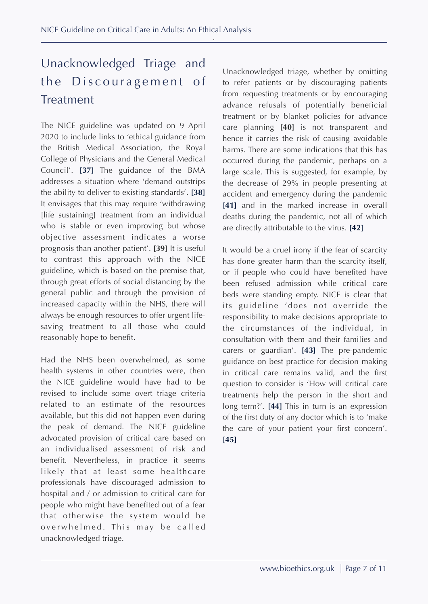## Unacknowledged Triage and the Discouragement of Treatment

The NICE guideline was updated on 9 April 2020 to include links to 'ethical guidance from the British Medical Association, the Royal College of Physicians and the General Medical Council'. **[37]** The guidance of the BMA addresses a situation where 'demand outstrips the ability to deliver to existing standards'. **[38]** It envisages that this may require 'withdrawing [life sustaining] treatment from an individual who is stable or even improving but whose objective assessment indicates a worse prognosis than another patient'. **[39]** It is useful to contrast this approach with the NICE guideline, which is based on the premise that, through great efforts of social distancing by the general public and through the provision of increased capacity within the NHS, there will always be enough resources to offer urgent lifesaving treatment to all those who could reasonably hope to benefit.

Had the NHS been overwhelmed, as some health systems in other countries were, then the NICE guideline would have had to be revised to include some overt triage criteria related to an estimate of the resources available, but this did not happen even during the peak of demand. The NICE guideline advocated provision of critical care based on an individualised assessment of risk and benefit. Nevertheless, in practice it seems likely that at least some healthcare professionals have discouraged admission to hospital and / or admission to critical care for people who might have benefited out of a fear that otherwise the system would be overwhelmed. This may be called unacknowledged triage.

Unacknowledged triage, whether by omitting to refer patients or by discouraging patients from requesting treatments or by encouraging advance refusals of potentially beneficial treatment or by blanket policies for advance care planning **[40]** is not transparent and hence it carries the risk of causing avoidable harms. There are some indications that this has occurred during the pandemic, perhaps on a large scale. This is suggested, for example, by the decrease of 29% in people presenting at accident and emergency during the pandemic [41] and in the marked increase in overall deaths during the pandemic, not all of which are directly attributable to the virus. **[42]**

It would be a cruel irony if the fear of scarcity has done greater harm than the scarcity itself, or if people who could have benefited have been refused admission while critical care beds were standing empty. NICE is clear that its guideline 'does not override the responsibility to make decisions appropriate to the circumstances of the individual, in consultation with them and their families and carers or guardian'. **[43]** The pre-pandemic guidance on best practice for decision making in critical care remains valid, and the first question to consider is 'How will critical care treatments help the person in the short and long term?'. **[44]** This in turn is an expression of the first duty of any doctor which is to 'make the care of your patient your first concern'. **[45]**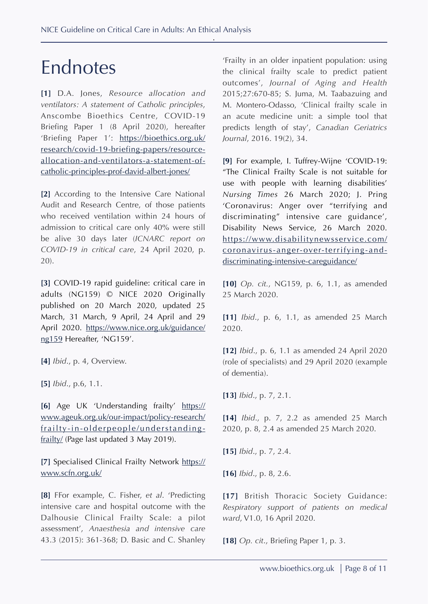# Endnotes

**[1]** D.A. Jones, *Resource allocation and ventilators: A statement of Catholic principles*, Anscombe Bioethics Centre, COVID-19 Briefing Paper 1 (8 April 2020), hereafter 'Briefing Paper 1': [https://bioethics.org.uk/](https://bioethics.org.uk/research/covid-19-briefing-papers/resource-allocation-and-ventilators-a-statement-of-catholic-principles-prof-david-albert-jones/) [research/covid-19-briefing-papers/resource](https://bioethics.org.uk/research/covid-19-briefing-papers/resource-allocation-and-ventilators-a-statement-of-catholic-principles-prof-david-albert-jones/)allocation-and-ventilators-a-statement-of[catholic-principles-prof-david-albert-jones/](https://bioethics.org.uk/research/covid-19-briefing-papers/resource-allocation-and-ventilators-a-statement-of-catholic-principles-prof-david-albert-jones/)

**[2]** According to the Intensive Care National Audit and Research Centre, of those patients who received ventilation within 24 hours of admission to critical care only 40% were still be alive 30 days later (*ICNARC report on COVID-19 in critical care*, 24 April 2020, p. 20).

**[3]** COVID-19 rapid guideline: critical care in adults (NG159) © NICE 2020 Originally published on 20 March 2020, updated 25 March, 31 March, 9 April, 24 April and 29 April 2020. [https://www.nice.org.uk/guidance/](https://www.nice.org.uk/guidance/ng159) [ng159](https://www.nice.org.uk/guidance/ng159) Hereafter, 'NG159'.

**[4]** *Ibid*., p. 4, Overview.

**[5]** *Ibid*., p.6, 1.1.

**[6]** Age UK 'Understanding frailty' [https://](https://www.ageuk.org.uk/our-impact/policy-research/frailty-in-olderpeople/understanding-frailty/) www.ageuk.org.uk/our-impact/policy-research/ [frailty-in-olderpeople/understanding](https://www.ageuk.org.uk/our-impact/policy-research/frailty-in-olderpeople/understanding-frailty/)[frailty/](https://www.ageuk.org.uk/our-impact/policy-research/frailty-in-olderpeople/understanding-frailty/) (Page last updated 3 May 2019).

**[7]** Specialised Clinical Frailty Network [https://](https://www.scfn.org.uk/) [www.scfn.org.uk/](https://www.scfn.org.uk/)

**[8]** FFor example, C. Fisher, *et al*. 'Predicting intensive care and hospital outcome with the Dalhousie Clinical Frailty Scale: a pilot assessment', *Anaesthesia and intensive care* 43.3 (2015): 361-368; D. Basic and C. Shanley

'Frailty in an older inpatient population: using the clinical frailty scale to predict patient outcomes', *Journal of Aging and Health* 2015;27:670-85; S. Juma, M. Taabazuing and M. Montero-Odasso, 'Clinical frailty scale in an acute medicine unit: a simple tool that predicts length of stay', *Canadian Geriatrics Journal*, 2016. 19(2), 34.

**[9]** For example, I. Tuffrey-Wijne 'COVID-19: "The Clinical Frailty Scale is not suitable for use with people with learning disabilities' *Nursing Times* 26 March 2020; J. Pring 'Coronavirus: Anger over "terrifying and discriminating" intensive care guidance', Disability News Service, 26 March 2020. https://www.disabilitynewsservice.com/ [coronavirus-anger-over-terrifying-and](https://www.disabilitynewsservice.com/coronavirus-anger-over-terrifying-and-discriminating-intensive-careguidance/)[discriminating-intensive-careguidance/](https://www.disabilitynewsservice.com/coronavirus-anger-over-terrifying-and-discriminating-intensive-careguidance/)

**[10]** *Op. cit.*, NG159, p. 6, 1.1, as amended 25 March 2020.

**[11]** *Ibid*., p. 6, 1.1, as amended 25 March 2020.

**[12]** *Ibid*., p. 6, 1.1 as amended 24 April 2020 (role of specialists) and 29 April 2020 (example of dementia).

**[13]** *Ibid*., p. 7, 2.1.

**[14]** *Ibid*., p. 7, 2.2 as amended 25 March 2020, p. 8, 2.4 as amended 25 March 2020.

**[15]** *Ibid*., p. 7, 2.4.

**[16]** *Ibid*., p. 8, 2.6.

**[17]** British Thoracic Society Guidance: *Respiratory support of patients on medical ward*, V1.0, 16 April 2020.

**[18]** *Op. cit*., Briefing Paper 1, p. 3.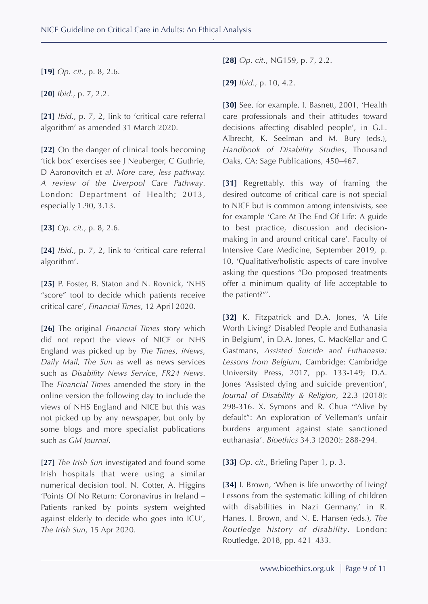**[19]** *Op. cit.*, p. 8, 2.6.

**[20]** *Ibid*., p. 7, 2.2.

**[21]** *Ibid*., p. 7, 2, link to 'critical care referral algorithm' as amended 31 March 2020.

**[22]** On the danger of clinical tools becoming 'tick box' exercises see J Neuberger, C Guthrie, D Aaronovitch *et al*. *More care, less pathway. A review of the Liverpool Care Pathway*. London: Department of Health; 2013, especially 1.90, 3.13.

**[23]** *Op. cit*., p. 8, 2.6.

**[24]** *Ibid*., p. 7, 2, link to 'critical care referral algorithm'.

**[25]** P. Foster, B. Staton and N. Rovnick, 'NHS "score" tool to decide which patients receive critical care', *Financial Times*, 12 April 2020.

**[26]** The original *Financial Times* story which did not report the views of NICE or NHS England was picked up by *The Times*, *iNews*, *Daily Mail*, *The Sun* as well as news services such as *Disability News Service*, *FR24 News*. The *Financial Times* amended the story in the online version the following day to include the views of NHS England and NICE but this was not picked up by any newspaper, but only by some blogs and more specialist publications such as *GM Journal*.

**[27]** *The Irish Sun* investigated and found some Irish hospitals that were using a similar numerical decision tool. N. Cotter, A. Higgins 'Points Of No Return: Coronavirus in Ireland – Patients ranked by points system weighted against elderly to decide who goes into ICU', *The Irish Sun*, 15 Apr 2020.

**[28]** *Op. cit*., NG159, p. 7, 2.2.

**[29]** *Ibid*., p. 10, 4.2.

[30] See, for example, I. Basnett, 2001, 'Health care professionals and their attitudes toward decisions affecting disabled people', in G.L. Albrecht, K. Seelman and M. Bury (eds.), *Handbook of Disability Studies*, Thousand Oaks, CA: Sage Publications, 450–467.

**[31]** Regrettably, this way of framing the desired outcome of critical care is not special to NICE but is common among intensivists, see for example 'Care At The End Of Life: A guide to best practice, discussion and decisionmaking in and around critical care'. Faculty of Intensive Care Medicine, September 2019, p. 10, 'Qualitative/holistic aspects of care involve asking the questions "Do proposed treatments offer a minimum quality of life acceptable to the patient?"'.

**[32]** K. Fitzpatrick and D.A. Jones, 'A Life Worth Living? Disabled People and Euthanasia in Belgium', in D.A. Jones, C. MacKellar and C Gastmans, *Assisted Suicide and Euthanasia: Lessons from Belgium*, Cambridge: Cambridge University Press, 2017, pp. 133-149; D.A. Jones 'Assisted dying and suicide prevention', *Journal of Disability & Religion*, 22.3 (2018): 298-316. X. Symons and R. Chua '"Alive by default": An exploration of Velleman's unfair burdens argument against state sanctioned euthanasia'. *Bioethics* 34.3 (2020): 288-294.

**[33]** *Op. cit*., Briefing Paper 1, p. 3.

**[34]** I. Brown, 'When is life unworthy of living? Lessons from the systematic killing of children with disabilities in Nazi Germany.' in R. Hanes, I. Brown, and N. E. Hansen (eds.), *The Routledge history of disability*. London: Routledge, 2018, pp. 421–433.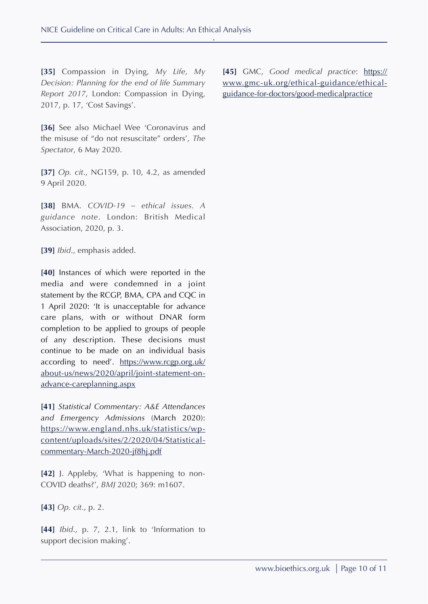**[35]** Compassion in Dying, *My Life, My Decision: Planning for the end of life Summary Report 2017*, London: Compassion in Dying, 2017, p. 17, 'Cost Savings'.

**[45]** GMC, *Good medical practice*: [https://](https://www.gmc-uk.org/ethical-guidance/ethical-guidance-for-doctors/good-medicalpractice) [www.gmc-uk.org/ethical-guidance/ethical](https://www.gmc-uk.org/ethical-guidance/ethical-guidance-for-doctors/good-medicalpractice)[guidance-for-doctors/good-medicalpractice](https://www.gmc-uk.org/ethical-guidance/ethical-guidance-for-doctors/good-medicalpractice)

**[36]** See also Michael Wee 'Coronavirus and the misuse of "do not resuscitate" orders', *The Spectator*, 6 May 2020.

**[37]** *Op. cit*., NG159, p. 10, 4.2, as amended 9 April 2020.

**[38]** BMA. *COVID-19 – ethical issues. A guidance note*. London: British Medical Association, 2020, p. 3.

**[39]** *Ibid*., emphasis added.

**[40]** Instances of which were reported in the media and were condemned in a joint statement by the RCGP, BMA, CPA and CQC in 1 April 2020: 'It is unacceptable for advance care plans, with or without DNAR form completion to be applied to groups of people of any description. These decisions must continue to be made on an individual basis according to need'. [https://www.rcgp.org.uk/](https://www.rcgp.org.uk/about-us/news/2020/april/joint-statement-on-advance-careplanning.aspx) [about-us/news/2020/april/joint-statement-on](https://www.rcgp.org.uk/about-us/news/2020/april/joint-statement-on-advance-careplanning.aspx)[advance-careplanning.aspx](https://www.rcgp.org.uk/about-us/news/2020/april/joint-statement-on-advance-careplanning.aspx)

**[41]** *Statistical Commentary: A&E Attendances and Emergency Admissions* (March 2020): [https://www.england.nhs.uk/statistics/wp](https://www.england.nhs.uk/statistics/wp-content/uploads/sites/2/2020/04/Statistical-commentary-March-2020-jf8hj.pdf)content/uploads/sites/2/2020/04/Statistical[commentary-March-2020-jf8hj.pdf](https://www.england.nhs.uk/statistics/wp-content/uploads/sites/2/2020/04/Statistical-commentary-March-2020-jf8hj.pdf)

**[42]** J. Appleby, 'What is happening to non-COVID deaths?', *BMJ* 2020; 369: m1607.

**[43]** *Op. cit*., p. 2.

**[44]** *Ibid*., p. 7, 2.1, link to 'Information to support decision making'.